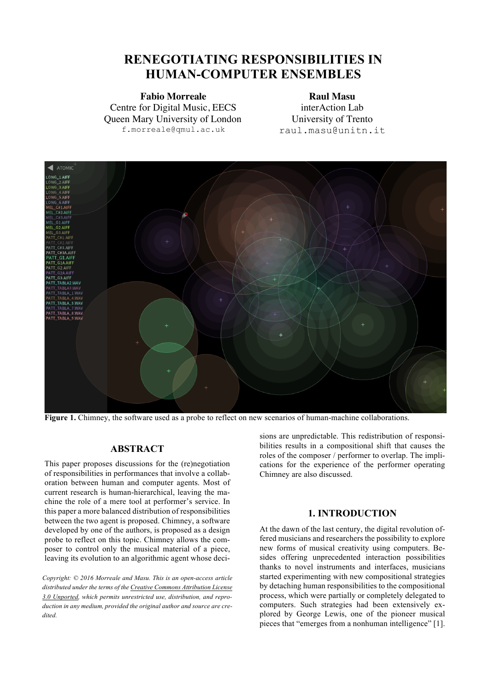# **RENEGOTIATING RESPONSIBILITIES IN HUMAN-COMPUTER ENSEMBLES**

**Fabio Morreale Raul Masu** Centre for Digital Music, EECS Queen Mary University of London f.morreale@qmul.ac.uk

interAction Lab University of Trento raul.masu@unitn.it



Figure 1. Chimney, the software used as a probe to reflect on new scenarios of human-machine collaborations.

# **ABSTRACT**

This paper proposes discussions for the (re)negotiation of responsibilities in performances that involve a collaboration between human and computer agents. Most of current research is human-hierarchical, leaving the machine the role of a mere tool at performer's service. In this paper a more balanced distribution of responsibilities between the two agent is proposed. Chimney, a software developed by one of the authors, is proposed as a design probe to reflect on this topic. Chimney allows the composer to control only the musical material of a piece, leaving its evolution to an algorithmic agent whose deci-

*Copyright: © 2016 Morreale and Masu. This is an open-access article distributed under the terms of the Creative Commons Attribution License 3.0 Unported, which permits unrestricted use, distribution, and reproduction in any medium, provided the original author and source are credited.*

sions are unpredictable. This redistribution of responsibilities results in a compositional shift that causes the roles of the composer / performer to overlap. The implications for the experience of the performer operating Chimney are also discussed.

# **1. INTRODUCTION**

At the dawn of the last century, the digital revolution offered musicians and researchers the possibility to explore new forms of musical creativity using computers. Besides offering unprecedented interaction possibilities thanks to novel instruments and interfaces, musicians started experimenting with new compositional strategies by detaching human responsibilities to the compositional process, which were partially or completely delegated to computers. Such strategies had been extensively explored by George Lewis, one of the pioneer musical pieces that "emerges from a nonhuman intelligence" [1].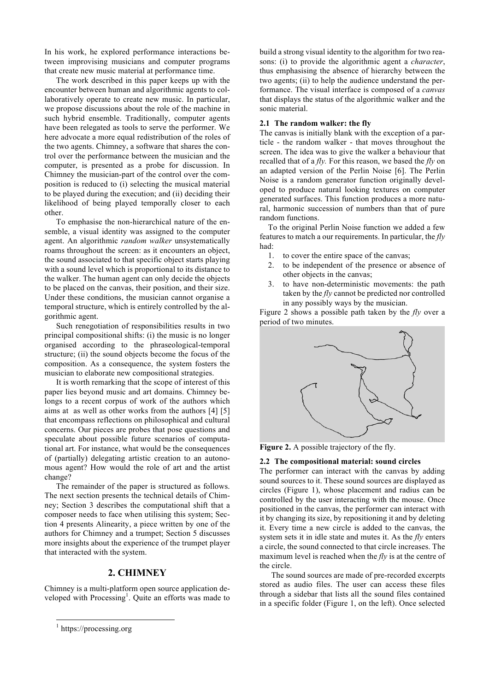In his work, he explored performance interactions between improvising musicians and computer programs that create new music material at performance time.

The work described in this paper keeps up with the encounter between human and algorithmic agents to collaboratively operate to create new music. In particular, we propose discussions about the role of the machine in such hybrid ensemble. Traditionally, computer agents have been relegated as tools to serve the performer. We here advocate a more equal redistribution of the roles of the two agents. Chimney, a software that shares the control over the performance between the musician and the computer, is presented as a probe for discussion. In Chimney the musician-part of the control over the composition is reduced to (i) selecting the musical material to be played during the execution; and (ii) deciding their likelihood of being played temporally closer to each other.

To emphasise the non-hierarchical nature of the ensemble, a visual identity was assigned to the computer agent. An algorithmic *random walker* unsystematically roams throughout the screen: as it encounters an object, the sound associated to that specific object starts playing with a sound level which is proportional to its distance to the walker. The human agent can only decide the objects to be placed on the canvas, their position, and their size. Under these conditions, the musician cannot organise a temporal structure, which is entirely controlled by the algorithmic agent.

Such renegotiation of responsibilities results in two principal compositional shifts: (i) the music is no longer organised according to the phraseological-temporal structure; (ii) the sound objects become the focus of the composition. As a consequence, the system fosters the musician to elaborate new compositional strategies.

It is worth remarking that the scope of interest of this paper lies beyond music and art domains. Chimney belongs to a recent corpus of work of the authors which aims at as well as other works from the authors [4] [5] that encompass reflections on philosophical and cultural concerns. Our pieces are probes that pose questions and speculate about possible future scenarios of computational art. For instance, what would be the consequences of (partially) delegating artistic creation to an autonomous agent? How would the role of art and the artist change?

The remainder of the paper is structured as follows. The next section presents the technical details of Chimney; Section 3 describes the computational shift that a composer needs to face when utilising this system; Section 4 presents Alinearity, a piece written by one of the authors for Chimney and a trumpet; Section 5 discusses more insights about the experience of the trumpet player that interacted with the system.

## **2. CHIMNEY**

Chimney is a multi-platform open source application developed with Processing<sup>1</sup>. Quite an efforts was made to build a strong visual identity to the algorithm for two reasons: (i) to provide the algorithmic agent a *character*, thus emphasising the absence of hierarchy between the two agents; (ii) to help the audience understand the performance. The visual interface is composed of a *canvas* that displays the status of the algorithmic walker and the sonic material.

#### **2.1 The random walker: the fly**

The canvas is initially blank with the exception of a particle - the random walker - that moves throughout the screen. The idea was to give the walker a behaviour that recalled that of a *fly.* For this reason, we based the *fly* on an adapted version of the Perlin Noise [6]. The Perlin Noise is a random generator function originally developed to produce natural looking textures on computer generated surfaces. This function produces a more natural, harmonic succession of numbers than that of pure random functions.

To the original Perlin Noise function we added a few features to match a our requirements. In particular, the *fly*  had:

- 1. to cover the entire space of the canvas;
- 2. to be independent of the presence or absence of other objects in the canvas;
- 3. to have non-deterministic movements: the path taken by the *fly* cannot be predicted nor controlled in any possibly ways by the musician.

Figure 2 shows a possible path taken by the *fly* over a period of two minutes.



**Figure 2.** A possible trajectory of the fly.

#### **2.2 The compositional material: sound circles**

The performer can interact with the canvas by adding sound sources to it. These sound sources are displayed as circles (Figure 1), whose placement and radius can be controlled by the user interacting with the mouse. Once positioned in the canvas, the performer can interact with it by changing its size, by repositioning it and by deleting it. Every time a new circle is added to the canvas, the system sets it in idle state and mutes it. As the *fly* enters a circle, the sound connected to that circle increases. The maximum level is reached when the *fly* is at the centre of the circle.

The sound sources are made of pre-recorded excerpts stored as audio files. The user can access these files through a sidebar that lists all the sound files contained in a specific folder (Figure 1, on the left). Once selected

<sup>&</sup>lt;sup>1</sup> https://processing.org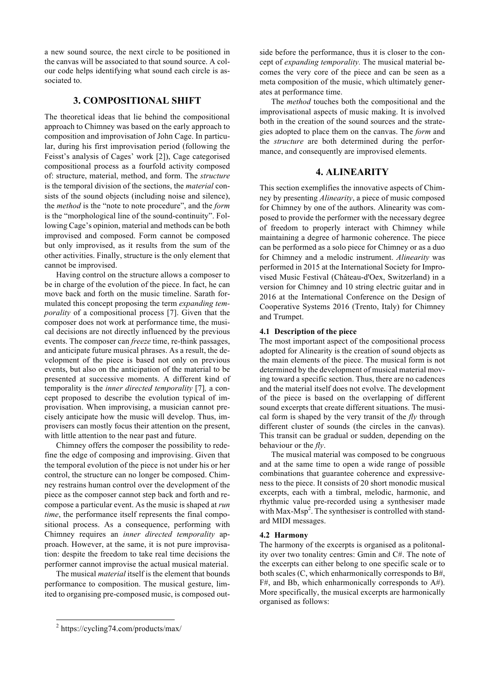a new sound source, the next circle to be positioned in the canvas will be associated to that sound source. A colour code helps identifying what sound each circle is associated to.

# **3. COMPOSITIONAL SHIFT**

The theoretical ideas that lie behind the compositional approach to Chimney was based on the early approach to composition and improvisation of John Cage. In particular, during his first improvisation period (following the Feisst's analysis of Cages' work [2]), Cage categorised compositional process as a fourfold activity composed of: structure, material, method, and form. The *structure* is the temporal division of the sections, the *material* consists of the sound objects (including noise and silence), the *method* is the "note to note procedure", and the *form* is the "morphological line of the sound-continuity". Following Cage's opinion, material and methods can be both improvised and composed. Form cannot be composed but only improvised, as it results from the sum of the other activities. Finally, structure is the only element that cannot be improvised.

Having control on the structure allows a composer to be in charge of the evolution of the piece. In fact, he can move back and forth on the music timeline. Sarath formulated this concept proposing the term *expanding temporality* of a compositional process [7]. Given that the composer does not work at performance time, the musical decisions are not directly influenced by the previous events. The composer can *freeze* time, re-think passages, and anticipate future musical phrases. As a result, the development of the piece is based not only on previous events, but also on the anticipation of the material to be presented at successive moments. A different kind of temporality is the *inner directed temporality* [7]*,* a concept proposed to describe the evolution typical of improvisation. When improvising, a musician cannot precisely anticipate how the music will develop. Thus, improvisers can mostly focus their attention on the present, with little attention to the near past and future.

Chimney offers the composer the possibility to redefine the edge of composing and improvising. Given that the temporal evolution of the piece is not under his or her control, the structure can no longer be composed. Chimney restrains human control over the development of the piece as the composer cannot step back and forth and recompose a particular event. As the music is shaped at *run time*, the performance itself represents the final compositional process. As a consequence, performing with Chimney requires an *inner directed temporality* approach. However, at the same, it is not pure improvisation: despite the freedom to take real time decisions the performer cannot improvise the actual musical material.

The musical *material* itself is the element that bounds performance to composition. The musical gesture, limited to organising pre-composed music, is composed outside before the performance, thus it is closer to the concept of *expanding temporality.* The musical material becomes the very core of the piece and can be seen as a meta composition of the music, which ultimately generates at performance time.

The *method* touches both the compositional and the improvisational aspects of music making. It is involved both in the creation of the sound sources and the strategies adopted to place them on the canvas. The *form* and the *structure* are both determined during the performance, and consequently are improvised elements.

# **4. ALINEARITY**

This section exemplifies the innovative aspects of Chimney by presenting *Alinearity*, a piece of music composed for Chimney by one of the authors. Alinearity was composed to provide the performer with the necessary degree of freedom to properly interact with Chimney while maintaining a degree of harmonic coherence. The piece can be performed as a solo piece for Chimney or as a duo for Chimney and a melodic instrument. *Alinearity* was performed in 2015 at the International Society for Improvised Music Festival (Château-d'Oex, Switzerland) in a version for Chimney and 10 string electric guitar and in 2016 at the International Conference on the Design of Cooperative Systems 2016 (Trento, Italy) for Chimney and Trumpet.

## **4.1 Description of the piece**

The most important aspect of the compositional process adopted for Alinearity is the creation of sound objects as the main elements of the piece. The musical form is not determined by the development of musical material moving toward a specific section. Thus, there are no cadences and the material itself does not evolve. The development of the piece is based on the overlapping of different sound excerpts that create different situations. The musical form is shaped by the very transit of the *fly* through different cluster of sounds (the circles in the canvas). This transit can be gradual or sudden, depending on the behaviour or the *fly*.

The musical material was composed to be congruous and at the same time to open a wide range of possible combinations that guarantee coherence and expressiveness to the piece. It consists of 20 short monodic musical excerpts, each with a timbral, melodic, harmonic, and rhythmic value pre-recorded using a synthesiser made with Max-Msp<sup>2</sup>. The synthesiser is controlled with standard MIDI messages.

## **4.2 Harmony**

The harmony of the excerpts is organised as a politonality over two tonality centres: Gmin and C#. The note of the excerpts can either belong to one specific scale or to both scales (C, which enharmonically corresponds to B#, F#, and Bb, which enharmonically corresponds to A#). More specifically, the musical excerpts are harmonically organised as follows:

 <sup>2</sup> https://cycling74.com/products/max/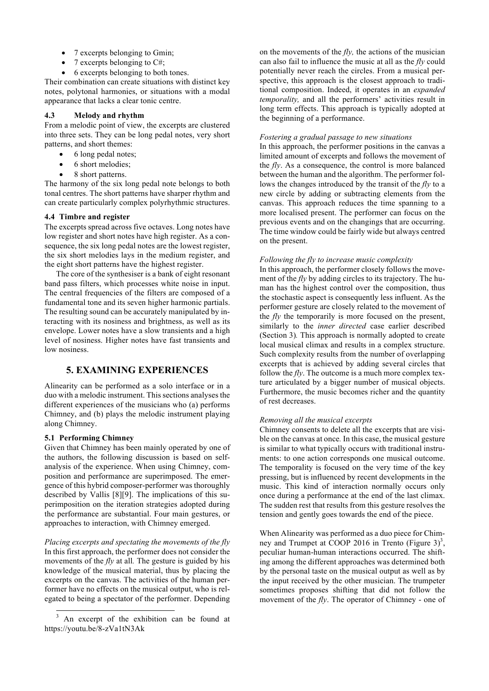- 7 excerpts belonging to Gmin;
- 7 excerpts belonging to C#;
- 6 excerpts belonging to both tones.

Their combination can create situations with distinct key notes, polytonal harmonies, or situations with a modal appearance that lacks a clear tonic centre.

# **4.3 Melody and rhythm**

From a melodic point of view, the excerpts are clustered into three sets. They can be long pedal notes, very short patterns, and short themes:

- 6 long pedal notes;
- 6 short melodies;
- 8 short patterns.

The harmony of the six long pedal note belongs to both tonal centres. The short patterns have sharper rhythm and can create particularly complex polyrhythmic structures.

#### **4.4 Timbre and register**

The excerpts spread across five octaves. Long notes have low register and short notes have high register. As a consequence, the six long pedal notes are the lowest register, the six short melodies lays in the medium register, and the eight short patterns have the highest register.

The core of the synthesiser is a bank of eight resonant band pass filters, which processes white noise in input. The central frequencies of the filters are composed of a fundamental tone and its seven higher harmonic partials. The resulting sound can be accurately manipulated by interacting with its nosiness and brightness, as well as its envelope. Lower notes have a slow transients and a high level of nosiness. Higher notes have fast transients and low nosiness.

# **5. EXAMINING EXPERIENCES**

Alinearity can be performed as a solo interface or in a duo with a melodic instrument. This sections analyses the different experiences of the musicians who (a) performs Chimney, and (b) plays the melodic instrument playing along Chimney.

### **5.1 Performing Chimney**

Given that Chimney has been mainly operated by one of the authors, the following discussion is based on selfanalysis of the experience. When using Chimney, composition and performance are superimposed. The emergence of this hybrid composer-performer was thoroughly described by Vallis [8][9]. The implications of this superimposition on the iteration strategies adopted during the performance are substantial. Four main gestures, or approaches to interaction, with Chimney emerged.

*Placing excerpts and spectating the movements of the fly* In this first approach, the performer does not consider the movements of the *fly* at all*.* The gesture is guided by his knowledge of the musical material, thus by placing the excerpts on the canvas. The activities of the human performer have no effects on the musical output, who is relegated to being a spectator of the performer. Depending on the movements of the *fly,* the actions of the musician can also fail to influence the music at all as the *fly* could potentially never reach the circles. From a musical perspective, this approach is the closest approach to traditional composition. Indeed, it operates in an *expanded temporality,* and all the performers' activities result in long term effects. This approach is typically adopted at the beginning of a performance.

#### *Fostering a gradual passage to new situations*

In this approach, the performer positions in the canvas a limited amount of excerpts and follows the movement of the *fly*. As a consequence, the control is more balanced between the human and the algorithm. The performer follows the changes introduced by the transit of the *fly* to a new circle by adding or subtracting elements from the canvas. This approach reduces the time spanning to a more localised present. The performer can focus on the previous events and on the changings that are occurring. The time window could be fairly wide but always centred on the present.

#### *Following the fly to increase music complexity*

In this approach, the performer closely follows the movement of the *fly* by adding circles to its trajectory. The human has the highest control over the composition, thus the stochastic aspect is consequently less influent. As the performer gesture are closely related to the movement of the *fly* the temporarily is more focused on the present, similarly to the *inner directed* case earlier described (Section 3)*.* This approach is normally adopted to create local musical climax and results in a complex structure. Such complexity results from the number of overlapping excerpts that is achieved by adding several circles that follow the *fly*. The outcome is a much more complex texture articulated by a bigger number of musical objects. Furthermore, the music becomes richer and the quantity of rest decreases.

#### *Removing all the musical excerpts*

Chimney consents to delete all the excerpts that are visible on the canvas at once*.* In this case, the musical gesture is similar to what typically occurs with traditional instruments: to one action corresponds one musical outcome. The temporality is focused on the very time of the key pressing, but is influenced by recent developments in the music. This kind of interaction normally occurs only once during a performance at the end of the last climax. The sudden rest that results from this gesture resolves the tension and gently goes towards the end of the piece.

When Alinearity was performed as a duo piece for Chimney and Trumpet at COOP 2016 in Trento (Figure 3)<sup>3</sup>, peculiar human-human interactions occurred. The shifting among the different approaches was determined both by the personal taste on the musical output as well as by the input received by the other musician. The trumpeter sometimes proposes shifting that did not follow the movement of the *fly*. The operator of Chimney - one of

<sup>&</sup>lt;sup>3</sup> An excerpt of the exhibition can be found at https://youtu.be/8-zVa1tN3Ak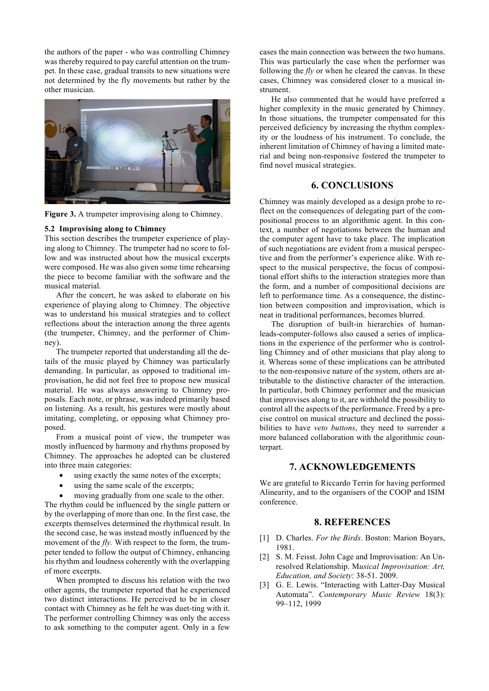the authors of the paper - who was controlling Chimney was thereby required to pay careful attention on the trumpet. In these case, gradual transits to new situations were not determined by the fly movements but rather by the other musician.



**Figure 3.** A trumpeter improvising along to Chimney.

#### **5.2 Improvising along to Chimney**

This section describes the trumpeter experience of playing along to Chimney. The trumpeter had no score to follow and was instructed about how the musical excerpts were composed. He was also given some time rehearsing the piece to become familiar with the software and the musical material.

After the concert, he was asked to elaborate on his experience of playing along to Chimney. The objective was to understand his musical strategies and to collect reflections about the interaction among the three agents (the trumpeter, Chimney, and the performer of Chimney).

The trumpeter reported that understanding all the details of the music played by Chimney was particularly demanding. In particular, as opposed to traditional improvisation, he did not feel free to propose new musical material. He was always answering to Chimney proposals. Each note, or phrase, was indeed primarily based on listening. As a result, his gestures were mostly about imitating, completing, or opposing what Chimney proposed.

From a musical point of view, the trumpeter was mostly influenced by harmony and rhythms proposed by Chimney. The approaches he adopted can be clustered into three main categories:

- using exactly the same notes of the excerpts;
- using the same scale of the excerpts;
- moving gradually from one scale to the other.

The rhythm could be influenced by the single pattern or by the overlapping of more than one. In the first case, the excerpts themselves determined the rhythmical result. In the second case, he was instead mostly influenced by the movement of the *fly.* With respect to the form, the trumpeter tended to follow the output of Chimney, enhancing his rhythm and loudness coherently with the overlapping of more excerpts.

When prompted to discuss his relation with the two other agents, the trumpeter reported that he experienced two distinct interactions. He perceived to be in closer contact with Chimney as he felt he was duet-ting with it. The performer controlling Chimney was only the access to ask something to the computer agent. Only in a few

cases the main connection was between the two humans. This was particularly the case when the performer was following the *fly* or when he cleared the canvas. In these cases, Chimney was considered closer to a musical instrument.

He also commented that he would have preferred a higher complexity in the music generated by Chimney. In those situations, the trumpeter compensated for this perceived deficiency by increasing the rhythm complexity or the loudness of his instrument. To conclude, the inherent limitation of Chimney of having a limited material and being non-responsive fostered the trumpeter to find novel musical strategies.

# **6. CONCLUSIONS**

Chimney was mainly developed as a design probe to reflect on the consequences of delegating part of the compositional process to an algorithmic agent. In this context, a number of negotiations between the human and the computer agent have to take place. The implication of such negotiations are evident from a musical perspective and from the performer's experience alike. With respect to the musical perspective, the focus of compositional effort shifts to the interaction strategies more than the form, and a number of compositional decisions are left to performance time. As a consequence, the distinction between composition and improvisation, which is neat in traditional performances, becomes blurred.

The disruption of built-in hierarchies of humanleads-computer-follows also caused a series of implications in the experience of the performer who is controlling Chimney and of other musicians that play along to it. Whereas some of these implications can be attributed to the non-responsive nature of the system, others are attributable to the distinctive character of the interaction. In particular, both Chimney performer and the musician that improvises along to it, are withhold the possibility to control all the aspects of the performance. Freed by a precise control on musical structure and declined the possibilities to have *veto buttons*, they need to surrender a more balanced collaboration with the algorithmic counterpart.

## **7. ACKNOWLEDGEMENTS**

We are grateful to Riccardo Terrin for having performed Alinearity, and to the organisers of the COOP and ISIM conference.

#### **8. REFERENCES**

- [1] D. Charles. *For the Birds*. Boston: Marion Boyars, 1981.
- [2] S. M. Feisst. John Cage and Improvisation: An Unresolved Relationship. M*usical Improvisation: Art, Education, and Society*: 38-51. 2009.
- [3] G. E. Lewis. "Interacting with Latter-Day Musical Automata". *Contemporary Music Review* 18(3): 99–112, 1999